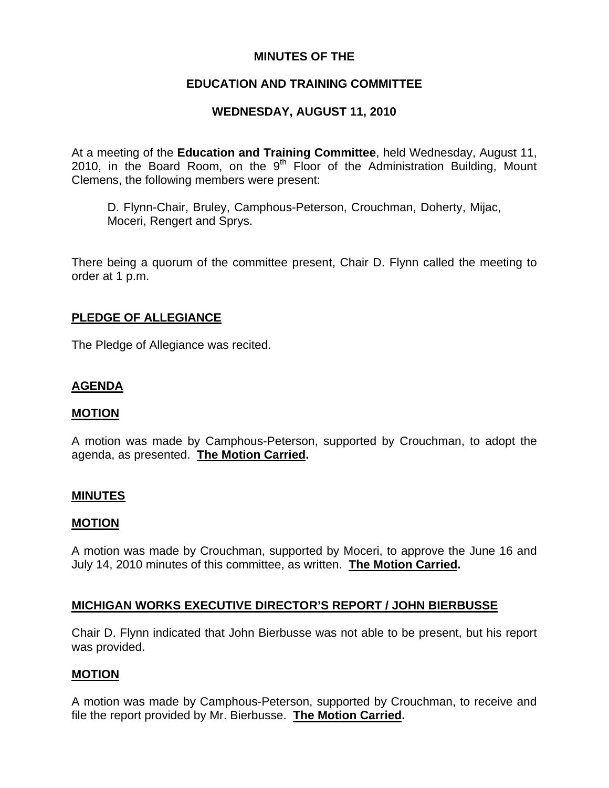## **MINUTES OF THE**

# **EDUCATION AND TRAINING COMMITTEE**

## **WEDNESDAY, AUGUST 11, 2010**

At a meeting of the **Education and Training Committee**, held Wednesday, August 11, 2010, in the Board Room, on the  $9<sup>th</sup>$  Floor of the Administration Building, Mount Clemens, the following members were present:

D. Flynn-Chair, Bruley, Camphous-Peterson, Crouchman, Doherty, Mijac, Moceri, Rengert and Sprys.

There being a quorum of the committee present, Chair D. Flynn called the meeting to order at 1 p.m.

### **PLEDGE OF ALLEGIANCE**

The Pledge of Allegiance was recited.

## **AGENDA**

#### **MOTION**

A motion was made by Camphous-Peterson, supported by Crouchman, to adopt the agenda, as presented. **The Motion Carried.** 

#### **MINUTES**

#### **MOTION**

A motion was made by Crouchman, supported by Moceri, to approve the June 16 and July 14, 2010 minutes of this committee, as written. **The Motion Carried.** 

#### **MICHIGAN WORKS EXECUTIVE DIRECTOR'S REPORT / JOHN BIERBUSSE**

Chair D. Flynn indicated that John Bierbusse was not able to be present, but his report was provided.

#### **MOTION**

A motion was made by Camphous-Peterson, supported by Crouchman, to receive and file the report provided by Mr. Bierbusse. **The Motion Carried.**